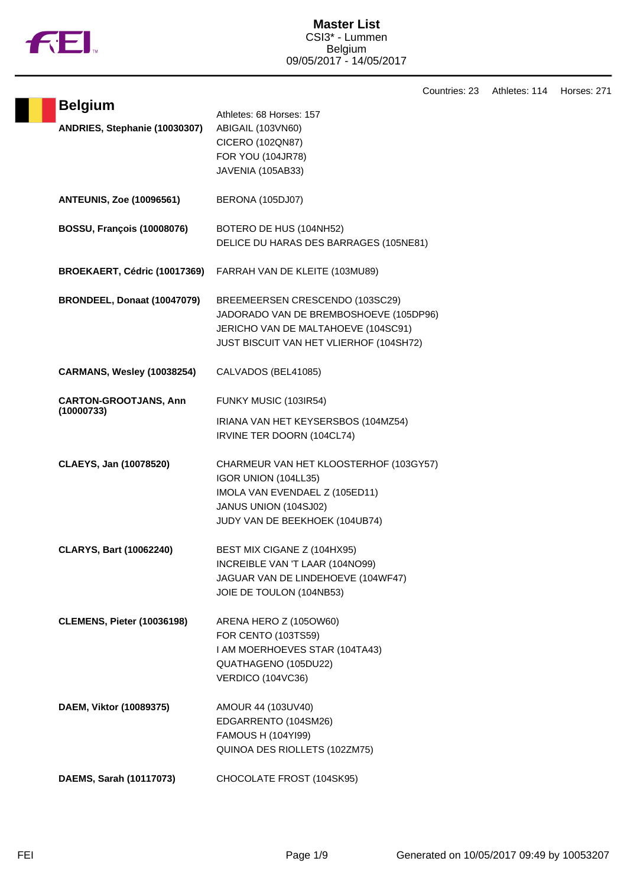

H

Countries: 23 Athletes: 114 Horses: 271

| <b>Belgium</b>                             | Athletes: 68 Horses: 157                                                                                                                                    |
|--------------------------------------------|-------------------------------------------------------------------------------------------------------------------------------------------------------------|
| ANDRIES, Stephanie (10030307)              | ABIGAIL (103VN60)                                                                                                                                           |
|                                            | CICERO (102QN87)                                                                                                                                            |
|                                            | FOR YOU (104JR78)                                                                                                                                           |
|                                            | JAVENIA (105AB33)                                                                                                                                           |
| <b>ANTEUNIS, Zoe (10096561)</b>            | BERONA (105DJ07)                                                                                                                                            |
| <b>BOSSU, François (10008076)</b>          | BOTERO DE HUS (104NH52)<br>DELICE DU HARAS DES BARRAGES (105NE81)                                                                                           |
| BROEKAERT, Cédric (10017369)               | FARRAH VAN DE KLEITE (103MU89)                                                                                                                              |
| BRONDEEL, Donaat (10047079)                | BREEMEERSEN CRESCENDO (103SC29)<br>JADORADO VAN DE BREMBOSHOEVE (105DP96)<br>JERICHO VAN DE MALTAHOEVE (104SC91)<br>JUST BISCUIT VAN HET VLIERHOF (104SH72) |
| <b>CARMANS, Wesley (10038254)</b>          | CALVADOS (BEL41085)                                                                                                                                         |
| <b>CARTON-GROOTJANS, Ann</b><br>(10000733) | FUNKY MUSIC (103IR54)                                                                                                                                       |
|                                            | IRIANA VAN HET KEYSERSBOS (104MZ54)<br>IRVINE TER DOORN (104CL74)                                                                                           |
| CLAEYS, Jan (10078520)                     | CHARMEUR VAN HET KLOOSTERHOF (103GY57)<br>IGOR UNION (104LL35)<br>IMOLA VAN EVENDAEL Z (105ED11)<br>JANUS UNION (104SJ02)<br>JUDY VAN DE BEEKHOEK (104UB74) |
| <b>CLARYS, Bart (10062240)</b>             | BEST MIX CIGANE Z (104HX95)<br>INCREIBLE VAN 'T LAAR (104NO99)<br>JAGUAR VAN DE LINDEHOEVE (104WF47)<br>JOIE DE TOULON (104NB53)                            |
| <b>CLEMENS, Pieter (10036198)</b>          | ARENA HERO Z (105OW60)<br>FOR CENTO (103TS59)<br>I AM MOERHOEVES STAR (104TA43)<br>QUATHAGENO (105DU22)<br>VERDICO (104VC36)                                |
| DAEM, Viktor (10089375)                    | AMOUR 44 (103UV40)<br>EDGARRENTO (104SM26)<br>FAMOUS H (104YI99)<br>QUINOA DES RIOLLETS (102ZM75)                                                           |
| DAEMS, Sarah (10117073)                    | CHOCOLATE FROST (104SK95)                                                                                                                                   |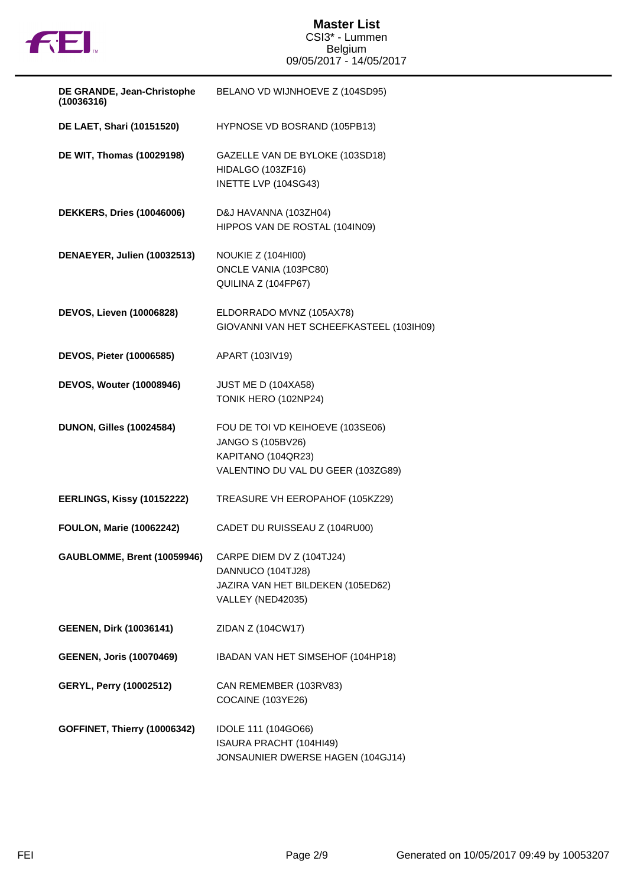

## **Master List** CSI3\* - Lummen Belgium 09/05/2017 - 14/05/2017

| DE GRANDE, Jean-Christophe<br>(10036316) | BELANO VD WIJNHOEVE Z (104SD95)                                                                                   |
|------------------------------------------|-------------------------------------------------------------------------------------------------------------------|
| DE LAET, Shari (10151520)                | HYPNOSE VD BOSRAND (105PB13)                                                                                      |
| DE WIT, Thomas (10029198)                | GAZELLE VAN DE BYLOKE (103SD18)<br>HIDALGO (103ZF16)<br>INETTE LVP (104SG43)                                      |
| <b>DEKKERS, Dries (10046006)</b>         | D&J HAVANNA (103ZH04)<br>HIPPOS VAN DE ROSTAL (104IN09)                                                           |
| DENAEYER, Julien (10032513)              | <b>NOUKIE Z (104HI00)</b><br>ONCLE VANIA (103PC80)<br>QUILINA Z (104FP67)                                         |
| <b>DEVOS, Lieven (10006828)</b>          | ELDORRADO MVNZ (105AX78)<br>GIOVANNI VAN HET SCHEEFKASTEEL (103IH09)                                              |
| DEVOS, Pieter (10006585)                 | APART (103IV19)                                                                                                   |
| <b>DEVOS, Wouter (10008946)</b>          | JUST ME D (104XA58)<br>TONIK HERO (102NP24)                                                                       |
| <b>DUNON, Gilles (10024584)</b>          | FOU DE TOI VD KEIHOEVE (103SE06)<br>JANGO S (105BV26)<br>KAPITANO (104QR23)<br>VALENTINO DU VAL DU GEER (103ZG89) |
| EERLINGS, Kissy (10152222)               | TREASURE VH EEROPAHOF (105KZ29)                                                                                   |
| <b>FOULON, Marie (10062242)</b>          | CADET DU RUISSEAU Z (104RU00)                                                                                     |
| GAUBLOMME, Brent (10059946)              | CARPE DIEM DV Z (104TJ24)<br>DANNUCO (104TJ28)<br>JAZIRA VAN HET BILDEKEN (105ED62)<br>VALLEY (NED42035)          |
| <b>GEENEN, Dirk (10036141)</b>           | ZIDAN Z (104CW17)                                                                                                 |
| <b>GEENEN, Joris (10070469)</b>          | IBADAN VAN HET SIMSEHOF (104HP18)                                                                                 |
| <b>GERYL, Perry (10002512)</b>           | CAN REMEMBER (103RV83)<br>COCAINE (103YE26)                                                                       |
| GOFFINET, Thierry (10006342)             | IDOLE 111 (104GO66)<br>ISAURA PRACHT (104HI49)<br>JONSAUNIER DWERSE HAGEN (104GJ14)                               |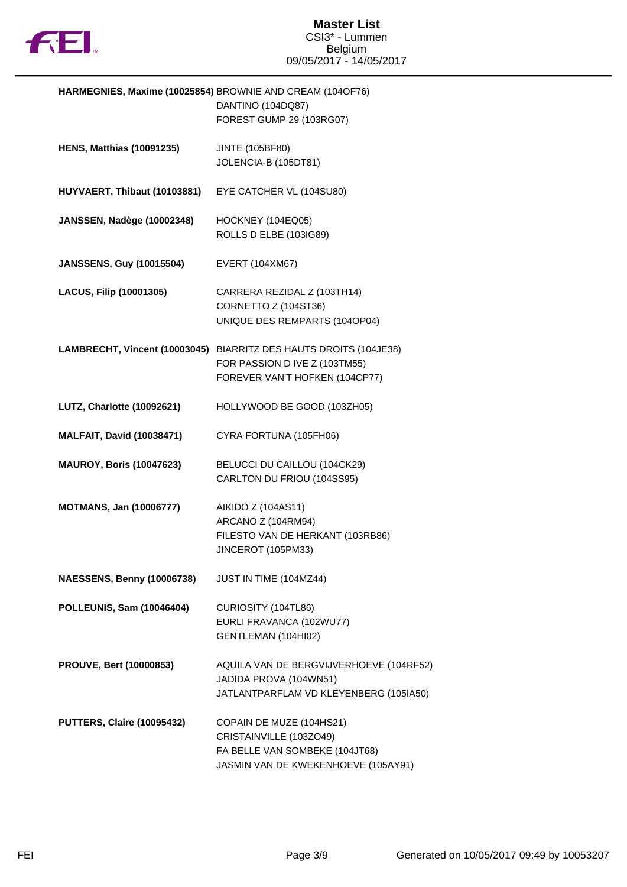

|                                   | HARMEGNIES, Maxime (10025854) BROWNIE AND CREAM (104OF76)<br>DANTINO (104DQ87)<br>FOREST GUMP 29 (103RG07)                           |
|-----------------------------------|--------------------------------------------------------------------------------------------------------------------------------------|
| <b>HENS, Matthias (10091235)</b>  | <b>JINTE (105BF80)</b><br>JOLENCIA-B (105DT81)                                                                                       |
| HUYVAERT, Thibaut (10103881)      | EYE CATCHER VL (104SU80)                                                                                                             |
| <b>JANSSEN, Nadège (10002348)</b> | HOCKNEY (104EQ05)<br>ROLLS D ELBE (103IG89)                                                                                          |
| <b>JANSSENS, Guy (10015504)</b>   | EVERT (104XM67)                                                                                                                      |
| <b>LACUS, Filip (10001305)</b>    | CARRERA REZIDAL Z (103TH14)<br>CORNETTO Z (104ST36)<br>UNIQUE DES REMPARTS (104OP04)                                                 |
|                                   | LAMBRECHT, Vincent (10003045) BIARRITZ DES HAUTS DROITS (104JE38)<br>FOR PASSION D IVE Z (103TM55)<br>FOREVER VAN'T HOFKEN (104CP77) |
| LUTZ, Charlotte (10092621)        | HOLLYWOOD BE GOOD (103ZH05)                                                                                                          |
| <b>MALFAIT, David (10038471)</b>  | CYRA FORTUNA (105FH06)                                                                                                               |
| <b>MAUROY, Boris (10047623)</b>   | BELUCCI DU CAILLOU (104CK29)<br>CARLTON DU FRIOU (104SS95)                                                                           |
| <b>MOTMANS, Jan (10006777)</b>    | AIKIDO Z (104AS11)<br>ARCANO Z (104RM94)<br>FILESTO VAN DE HERKANT (103RB86)<br>JINCEROT (105PM33)                                   |
| <b>NAESSENS, Benny (10006738)</b> | JUST IN TIME (104MZ44)                                                                                                               |
| POLLEUNIS, Sam (10046404)         | CURIOSITY (104TL86)<br>EURLI FRAVANCA (102WU77)<br>GENTLEMAN (104HI02)                                                               |
| <b>PROUVE, Bert (10000853)</b>    | AQUILA VAN DE BERGVIJVERHOEVE (104RF52)<br>JADIDA PROVA (104WN51)<br>JATLANTPARFLAM VD KLEYENBERG (105IA50)                          |
| PUTTERS, Claire (10095432)        | COPAIN DE MUZE (104HS21)<br>CRISTAINVILLE (103ZO49)<br>FA BELLE VAN SOMBEKE (104JT68)<br>JASMIN VAN DE KWEKENHOEVE (105AY91)         |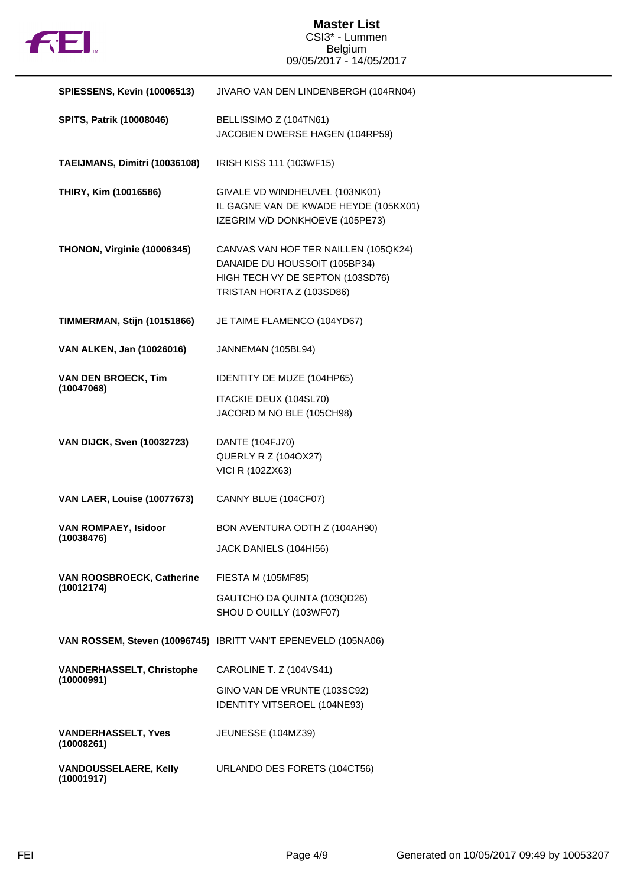

## **Master List** CSI3\* - Lummen Belgium 09/05/2017 - 14/05/2017

| <b>SPIESSENS, Kevin (10006513)</b>             | JIVARO VAN DEN LINDENBERGH (104RN04)                                                                                                   |  |
|------------------------------------------------|----------------------------------------------------------------------------------------------------------------------------------------|--|
| SPITS, Patrik (10008046)                       | BELLISSIMO Z (104TN61)<br>JACOBIEN DWERSE HAGEN (104RP59)                                                                              |  |
| TAEIJMANS, Dimitri (10036108)                  | IRISH KISS 111 (103WF15)                                                                                                               |  |
| THIRY, Kim (10016586)                          | GIVALE VD WINDHEUVEL (103NK01)<br>IL GAGNE VAN DE KWADE HEYDE (105KX01)<br>IZEGRIM V/D DONKHOEVE (105PE73)                             |  |
| THONON, Virginie (10006345)                    | CANVAS VAN HOF TER NAILLEN (105QK24)<br>DANAIDE DU HOUSSOIT (105BP34)<br>HIGH TECH VY DE SEPTON (103SD76)<br>TRISTAN HORTA Z (103SD86) |  |
| TIMMERMAN, Stijn (10151866)                    | JE TAIME FLAMENCO (104YD67)                                                                                                            |  |
| VAN ALKEN, Jan (10026016)                      | JANNEMAN (105BL94)                                                                                                                     |  |
| <b>VAN DEN BROECK, Tim</b><br>(10047068)       | IDENTITY DE MUZE (104HP65)                                                                                                             |  |
|                                                | ITACKIE DEUX (104SL70)<br>JACORD M NO BLE (105CH98)                                                                                    |  |
| <b>VAN DIJCK, Sven (10032723)</b>              | DANTE (104FJ70)<br><b>QUERLY R Z (104OX27)</b><br><b>VICI R (102ZX63)</b>                                                              |  |
| <b>VAN LAER, Louise (10077673)</b>             | CANNY BLUE (104CF07)                                                                                                                   |  |
| <b>VAN ROMPAEY, Isidoor</b><br>(10038476)      | BON AVENTURA ODTH Z (104AH90)                                                                                                          |  |
|                                                | JACK DANIELS (104HI56)                                                                                                                 |  |
| VAN ROOSBROECK, Catherine<br>(10012174)        | FIESTA M (105MF85)                                                                                                                     |  |
|                                                | GAUTCHO DA QUINTA (103QD26)<br>SHOU D OUILLY (103WF07)                                                                                 |  |
|                                                | VAN ROSSEM, Steven (10096745) IBRITT VAN'T EPENEVELD (105NA06)                                                                         |  |
| <b>VANDERHASSELT, Christophe</b><br>(10000991) | CAROLINE T. Z (104VS41)                                                                                                                |  |
|                                                | GINO VAN DE VRUNTE (103SC92)<br>IDENTITY VITSEROEL (104NE93)                                                                           |  |
| <b>VANDERHASSELT, Yves</b><br>(10008261)       | JEUNESSE (104MZ39)                                                                                                                     |  |
| <b>VANDOUSSELAERE, Kelly</b><br>(10001917)     | URLANDO DES FORETS (104CT56)                                                                                                           |  |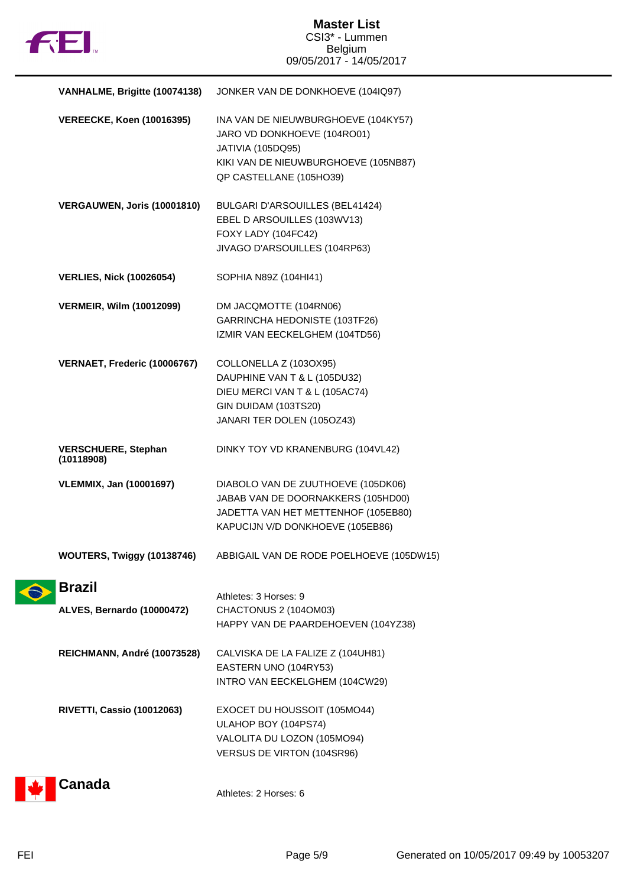

| VANHALME, Brigitte (10074138)<br>JONKER VAN DE DONKHOEVE (104IQ97)                                                                                         |
|------------------------------------------------------------------------------------------------------------------------------------------------------------|
| INA VAN DE NIEUWBURGHOEVE (104KY57)<br>JARO VD DONKHOEVE (104RO01)<br>JATIVIA (105DQ95)<br>KIKI VAN DE NIEUWBURGHOEVE (105NB87)<br>QP CASTELLANE (105HO39) |
| BULGARI D'ARSOUILLES (BEL41424)<br>EBEL D ARSOUILLES (103WV13)<br>FOXY LADY (104FC42)<br>JIVAGO D'ARSOUILLES (104RP63)                                     |
| SOPHIA N89Z (104HI41)                                                                                                                                      |
| DM JACQMOTTE (104RN06)<br>GARRINCHA HEDONISTE (103TF26)<br>IZMIR VAN EECKELGHEM (104TD56)                                                                  |
| COLLONELLA Z (103OX95)<br>DAUPHINE VAN T & L (105DU32)<br>DIEU MERCI VAN T & L (105AC74)<br>GIN DUIDAM (103TS20)<br>JANARI TER DOLEN (105OZ43)             |
| DINKY TOY VD KRANENBURG (104VL42)                                                                                                                          |
| DIABOLO VAN DE ZUUTHOEVE (105DK06)<br>JABAB VAN DE DOORNAKKERS (105HD00)<br>JADETTA VAN HET METTENHOF (105EB80)<br>KAPUCIJN V/D DONKHOEVE (105EB86)        |
| ABBIGAIL VAN DE RODE POELHOEVE (105DW15)                                                                                                                   |
| Athletes: 3 Horses: 9<br>CHACTONUS 2 (104OM03)<br>HAPPY VAN DE PAARDEHOEVEN (104YZ38)                                                                      |
| CALVISKA DE LA FALIZE Z (104UH81)<br>EASTERN UNO (104RY53)<br>INTRO VAN EECKELGHEM (104CW29)                                                               |
| EXOCET DU HOUSSOIT (105MO44)<br>ULAHOP BOY (104PS74)<br>VALOLITA DU LOZON (105MO94)<br>VERSUS DE VIRTON (104SR96)                                          |
|                                                                                                                                                            |



Athletes: 2 Horses: 6

 $\hat{\bullet}$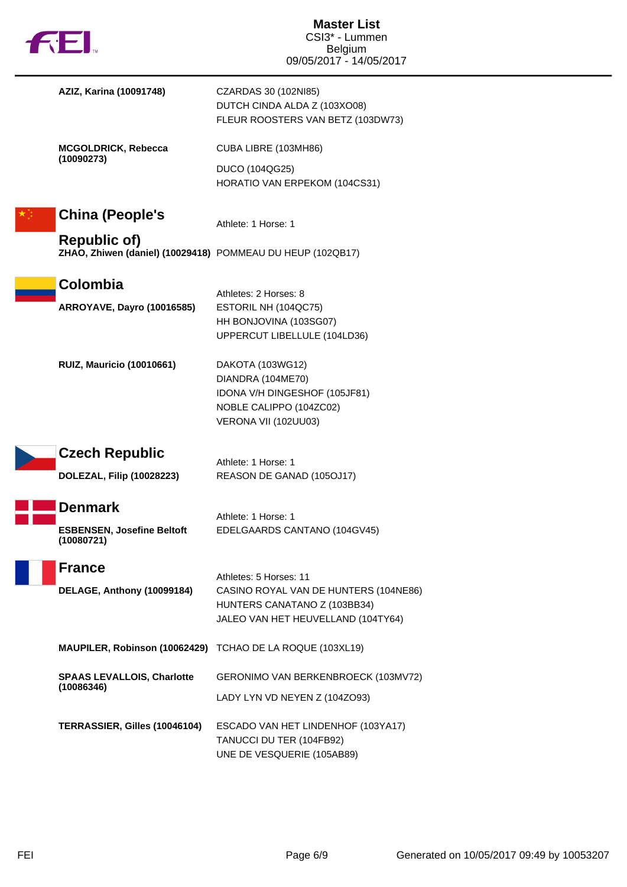| fill.                                                                             | <b>Master List</b><br>CSI3* - Lummen<br><b>Belgium</b><br>09/05/2017 - 14/05/2017                                                     |
|-----------------------------------------------------------------------------------|---------------------------------------------------------------------------------------------------------------------------------------|
| AZIZ, Karina (10091748)                                                           | CZARDAS 30 (102NI85)<br>DUTCH CINDA ALDA Z (103XO08)<br>FLEUR ROOSTERS VAN BETZ (103DW73)                                             |
| <b>MCGOLDRICK, Rebecca</b><br>(10090273)                                          | CUBA LIBRE (103MH86)                                                                                                                  |
|                                                                                   | DUCO (104QG25)<br>HORATIO VAN ERPEKOM (104CS31)                                                                                       |
| <b>China (People's</b>                                                            | Athlete: 1 Horse: 1                                                                                                                   |
| <b>Republic of)</b><br>ZHAO, Zhiwen (daniel) (10029418) POMMEAU DU HEUP (102QB17) |                                                                                                                                       |
| Colombia<br><b>ARROYAVE, Dayro (10016585)</b>                                     | Athletes: 2 Horses: 8<br>ESTORIL NH (104QC75)<br>HH BONJOVINA (103SG07)<br>UPPERCUT LIBELLULE (104LD36)                               |
| <b>RUIZ, Mauricio (10010661)</b>                                                  | DAKOTA (103WG12)<br>DIANDRA (104ME70)<br>IDONA V/H DINGESHOF (105JF81)<br>NOBLE CALIPPO (104ZC02)<br>VERONA VII (102UU03)             |
| <b>Czech Republic</b>                                                             | Athlete: 1 Horse: 1                                                                                                                   |
| DOLEZAL, Filip (10028223)                                                         | REASON DE GANAD (105OJ17)                                                                                                             |
| <b>Denmark</b><br><b>ESBENSEN, Josefine Beltoft</b><br>(10080721)                 | Athlete: 1 Horse: 1<br>EDELGAARDS CANTANO (104GV45)                                                                                   |
| <b>France</b><br>DELAGE, Anthony (10099184)                                       | Athletes: 5 Horses: 11<br>CASINO ROYAL VAN DE HUNTERS (104NE86)<br>HUNTERS CANATANO Z (103BB34)<br>JALEO VAN HET HEUVELLAND (104TY64) |
| MAUPILER, Robinson (10062429) TCHAO DE LA ROQUE (103XL19)                         |                                                                                                                                       |
| <b>SPAAS LEVALLOIS, Charlotte</b><br>(10086346)                                   | GERONIMO VAN BERKENBROECK (103MV72)<br>LADY LYN VD NEYEN Z (104ZO93)                                                                  |
| TERRASSIER, Gilles (10046104)                                                     | ESCADO VAN HET LINDENHOF (103YA17)<br>TANUCCI DU TER (104FB92)<br>UNE DE VESQUERIE (105AB89)                                          |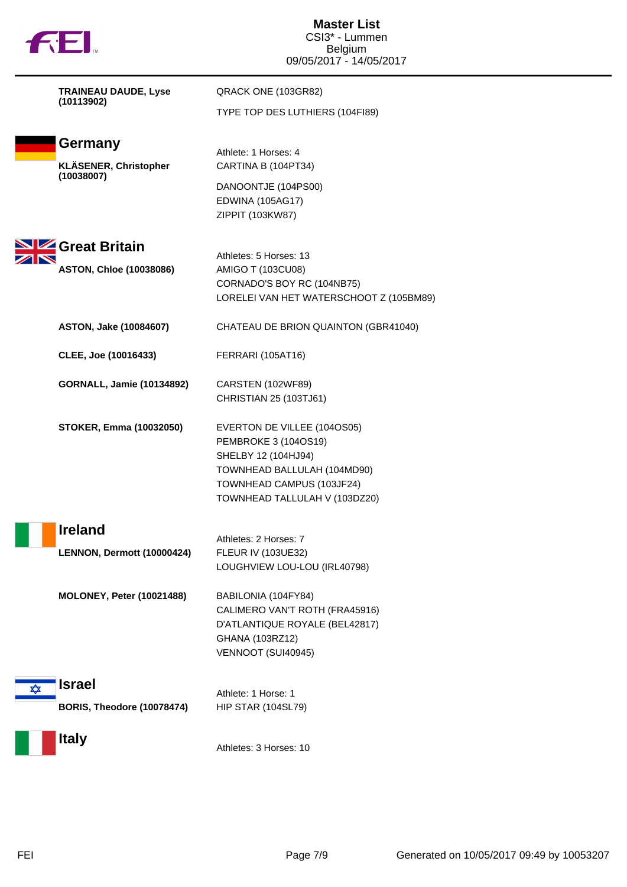|  | M |
|--|---|

| <b>TRAINEAU DAUDE, Lyse</b> |  |
|-----------------------------|--|
| (10113902)                  |  |



**KLÄSENER, Christopher (10038007)**

Athlete: 1 Horses: 4 CARTINA B (104PT34)

QRACK ONE (103GR82)

TYPE TOP DES LUTHIERS (104FI89)

DANOONTJE (104PS00) EDWINA (105AG17) ZIPPIT (103KW87)



Athletes: 5 Horses: 13 **ASTON, Chloe (10038086)** AMIGO T (103CU08) CORNADO'S BOY RC (104NB75) LORELEI VAN HET WATERSCHOOT Z (105BM89)

**ASTON, Jake (10084607)** CHATEAU DE BRION QUAINTON (GBR41040)

**CLEE, Joe (10016433)** FERRARI (105AT16)

**GORNALL, Jamie (10134892)** CARSTEN (102WF89)

CHRISTIAN 25 (103TJ61)

**STOKER, Emma (10032050)** EVERTON DE VILLEE (104OS05)

PEMBROKE 3 (104OS19) SHELBY 12 (104HJ94) TOWNHEAD BALLULAH (104MD90) TOWNHEAD CAMPUS (103JF24) TOWNHEAD TALLULAH V (103DZ20)

| Athletes: 2 Horses: 7          |
|--------------------------------|
| <b>FLEUR IV (103UE32)</b>      |
| LOUGHVIEW LOU-LOU (IRL40798)   |
| BABILONIA (104FY84)            |
| CALIMERO VAN'T ROTH (FRA45916) |
| D'ATLANTIQUE ROYALE (BEL42817) |
|                                |





Athletes: 3 Horses: 10

GHANA (103RZ12) VENNOOT (SUI40945)

FEI Page 7/9 Generated on 10/05/2017 09:49 by 10053207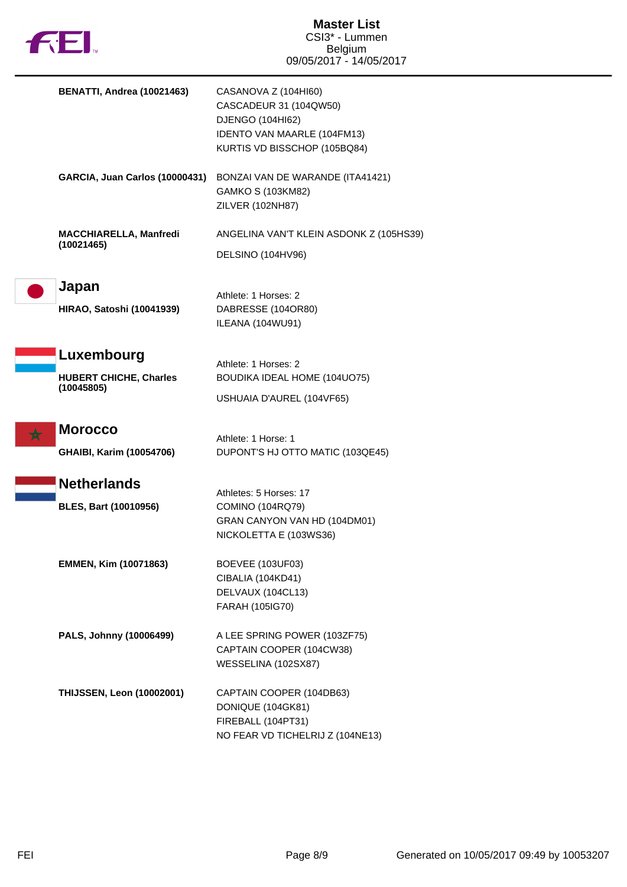

| <b>BENATTI, Andrea (10021463)</b>                  | CASANOVA Z (104HI60)<br>CASCADEUR 31 (104QW50)<br>DJENGO (104HI62)<br>IDENTO VAN MAARLE (104FM13)<br>KURTIS VD BISSCHOP (105BQ84) |
|----------------------------------------------------|-----------------------------------------------------------------------------------------------------------------------------------|
| <b>GARCIA, Juan Carlos (10000431)</b>              | BONZAI VAN DE WARANDE (ITA41421)<br>GAMKO S (103KM82)<br><b>ZILVER (102NH87)</b>                                                  |
| <b>MACCHIARELLA, Manfredi</b><br>(10021465)        | ANGELINA VAN'T KLEIN ASDONK Z (105HS39)<br>DELSINO (104HV96)                                                                      |
| Japan<br><b>HIRAO, Satoshi (10041939)</b>          | Athlete: 1 Horses: 2<br>DABRESSE (104OR80)<br>ILEANA (104WU91)                                                                    |
| Luxembourg                                         | Athlete: 1 Horses: 2                                                                                                              |
| <b>HUBERT CHICHE, Charles</b><br>(10045805)        | <b>BOUDIKA IDEAL HOME (104UO75)</b><br>USHUAIA D'AUREL (104VF65)                                                                  |
| <b>Morocco</b><br><b>GHAIBI, Karim (10054706)</b>  | Athlete: 1 Horse: 1<br>DUPONT'S HJ OTTO MATIC (103QE45)                                                                           |
| <b>Netherlands</b><br><b>BLES, Bart (10010956)</b> | Athletes: 5 Horses: 17<br>COMINO (104RQ79)<br>GRAN CANYON VAN HD (104DM01)<br>NICKOLETTA E (103WS36)                              |
| EMMEN, Kim (10071863)                              | <b>BOEVEE (103UF03)</b><br>CIBALIA (104KD41)<br>DELVAUX (104CL13)<br>FARAH (105IG70)                                              |
| PALS, Johnny (10006499)                            | A LEE SPRING POWER (103ZF75)<br>CAPTAIN COOPER (104CW38)<br>WESSELINA (102SX87)                                                   |
| <b>THIJSSEN, Leon (10002001)</b>                   | CAPTAIN COOPER (104DB63)<br>DONIQUE (104GK81)<br>FIREBALL (104PT31)<br>NO FEAR VD TICHELRIJ Z (104NE13)                           |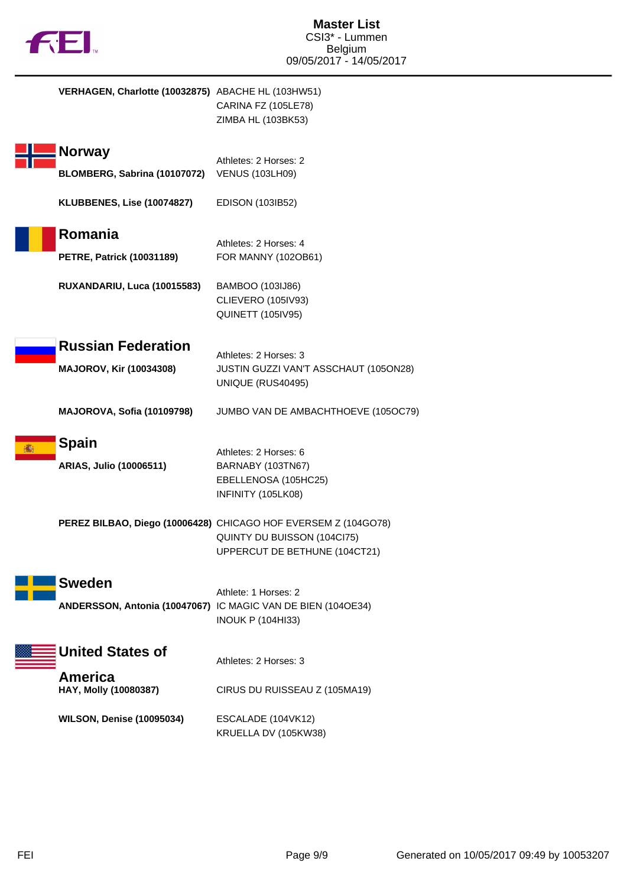

| VERHAGEN, Charlotte (10032875) ABACHE HL (103HW51)          | CARINA FZ (105LE78)<br>ZIMBA HL (103BK53)                                                                                      |
|-------------------------------------------------------------|--------------------------------------------------------------------------------------------------------------------------------|
| <b>Norway</b><br>BLOMBERG, Sabrina (10107072)               | Athletes: 2 Horses: 2<br><b>VENUS (103LH09)</b>                                                                                |
| KLUBBENES, Lise (10074827)                                  | EDISON (103IB52)                                                                                                               |
| Romania<br><b>PETRE, Patrick (10031189)</b>                 | Athletes: 2 Horses: 4<br>FOR MANNY (102OB61)                                                                                   |
| RUXANDARIU, Luca (10015583)                                 | BAMBOO (103IJ86)<br><b>CLIEVERO (105IV93)</b><br><b>QUINETT (105IV95)</b>                                                      |
| <b>Russian Federation</b><br><b>MAJOROV, Kir (10034308)</b> | Athletes: 2 Horses: 3<br>JUSTIN GUZZI VAN'T ASSCHAUT (105ON28)<br>UNIQUE (RUS40495)                                            |
| MAJOROVA, Sofia (10109798)                                  | JUMBO VAN DE AMBACHTHOEVE (105OC79)                                                                                            |
| <b>Spain</b><br>ARIAS, Julio (10006511)                     | Athletes: 2 Horses: 6<br>BARNABY (103TN67)<br>EBELLENOSA (105HC25)<br>INFINITY (105LK08)                                       |
|                                                             | PEREZ BILBAO, Diego (10006428) CHICAGO HOF EVERSEM Z (104GO78)<br>QUINTY DU BUISSON (104Cl75)<br>UPPERCUT DE BETHUNE (104CT21) |
| <b>Sweden</b>                                               | Athlete: 1 Horses: 2<br>ANDERSSON, Antonia (10047067) IC MAGIC VAN DE BIEN (104OE34)<br><b>INOUK P (104HI33)</b>               |
| <b>United States of</b>                                     | Athletes: 2 Horses: 3                                                                                                          |
| America<br>HAY, Molly (10080387)                            | CIRUS DU RUISSEAU Z (105MA19)                                                                                                  |
| <b>WILSON, Denise (10095034)</b>                            | ESCALADE (104VK12)<br>KRUELLA DV (105KW38)                                                                                     |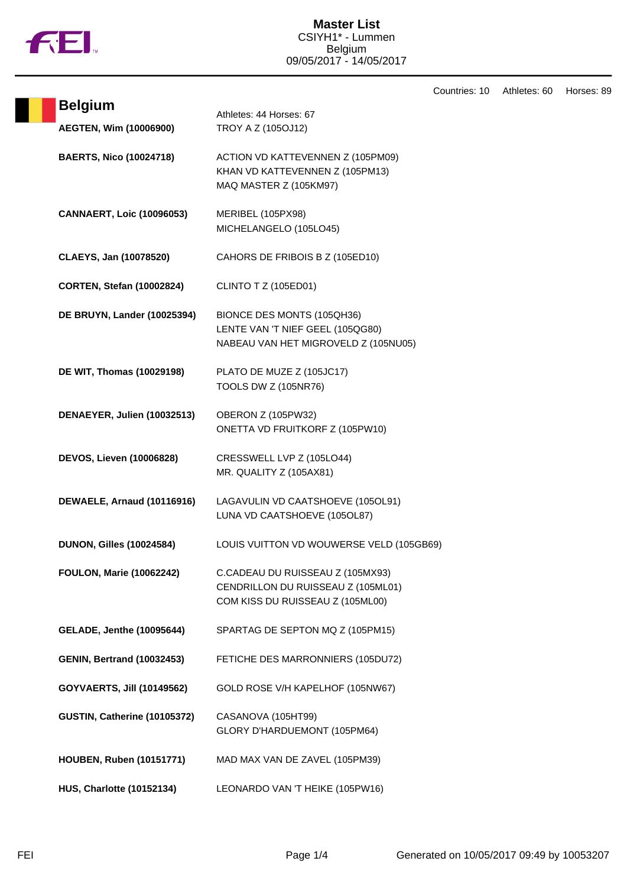

|                                          |                                                                                                            | Countries: 10 | Athletes: 60 | Horses: 89 |
|------------------------------------------|------------------------------------------------------------------------------------------------------------|---------------|--------------|------------|
| <b>Belgium</b><br>AEGTEN, Wim (10006900) | Athletes: 44 Horses: 67<br>TROY A Z (105OJ12)                                                              |               |              |            |
| <b>BAERTS, Nico (10024718)</b>           | ACTION VD KATTEVENNEN Z (105PM09)<br>KHAN VD KATTEVENNEN Z (105PM13)<br>MAQ MASTER Z (105KM97)             |               |              |            |
| <b>CANNAERT, Loic (10096053)</b>         | MERIBEL (105PX98)<br>MICHELANGELO (105LO45)                                                                |               |              |            |
| CLAEYS, Jan (10078520)                   | CAHORS DE FRIBOIS B Z (105ED10)                                                                            |               |              |            |
| <b>CORTEN, Stefan (10002824)</b>         | <b>CLINTO T Z (105ED01)</b>                                                                                |               |              |            |
| DE BRUYN, Lander (10025394)              | BIONCE DES MONTS (105QH36)<br>LENTE VAN 'T NIEF GEEL (105QG80)<br>NABEAU VAN HET MIGROVELD Z (105NU05)     |               |              |            |
| DE WIT, Thomas (10029198)                | PLATO DE MUZE Z (105JC17)<br><b>TOOLS DW Z (105NR76)</b>                                                   |               |              |            |
| DENAEYER, Julien (10032513)              | OBERON Z (105PW32)<br>ONETTA VD FRUITKORF Z (105PW10)                                                      |               |              |            |
| <b>DEVOS, Lieven (10006828)</b>          | CRESSWELL LVP Z (105LO44)<br>MR. QUALITY Z (105AX81)                                                       |               |              |            |
| DEWAELE, Arnaud (10116916)               | LAGAVULIN VD CAATSHOEVE (105OL91)<br>LUNA VD CAATSHOEVE (105OL87)                                          |               |              |            |
| <b>DUNON, Gilles (10024584)</b>          | LOUIS VUITTON VD WOUWERSE VELD (105GB69)                                                                   |               |              |            |
| <b>FOULON, Marie (10062242)</b>          | C.CADEAU DU RUISSEAU Z (105MX93)<br>CENDRILLON DU RUISSEAU Z (105ML01)<br>COM KISS DU RUISSEAU Z (105ML00) |               |              |            |
| <b>GELADE, Jenthe (10095644)</b>         | SPARTAG DE SEPTON MQ Z (105PM15)                                                                           |               |              |            |
| <b>GENIN, Bertrand (10032453)</b>        | FETICHE DES MARRONNIERS (105DU72)                                                                          |               |              |            |
| <b>GOYVAERTS, Jill (10149562)</b>        | GOLD ROSE V/H KAPELHOF (105NW67)                                                                           |               |              |            |
| GUSTIN, Catherine (10105372)             | CASANOVA (105HT99)<br>GLORY D'HARDUEMONT (105PM64)                                                         |               |              |            |
| <b>HOUBEN, Ruben (10151771)</b>          | MAD MAX VAN DE ZAVEL (105PM39)                                                                             |               |              |            |
| <b>HUS, Charlotte (10152134)</b>         | LEONARDO VAN 'T HEIKE (105PW16)                                                                            |               |              |            |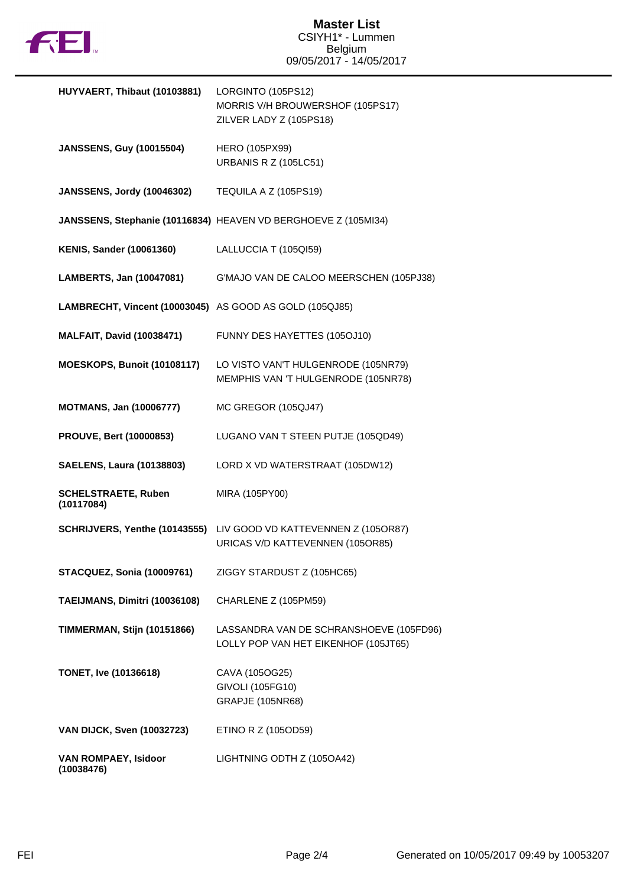

| HUYVAERT, Thibaut (10103881)                            | LORGINTO (105PS12)<br>MORRIS V/H BROUWERSHOF (105PS17)<br>ZILVER LADY Z (105PS18)                     |
|---------------------------------------------------------|-------------------------------------------------------------------------------------------------------|
| <b>JANSSENS, Guy (10015504)</b>                         | HERO (105PX99)<br><b>URBANIS R Z (105LC51)</b>                                                        |
| <b>JANSSENS, Jordy (10046302)</b>                       | TEQUILA A Z (105PS19)                                                                                 |
|                                                         | JANSSENS, Stephanie (10116834) HEAVEN VD BERGHOEVE Z (105MI34)                                        |
| <b>KENIS, Sander (10061360)</b>                         | LALLUCCIA T (105QI59)                                                                                 |
| LAMBERTS, Jan (10047081)                                | G'MAJO VAN DE CALOO MEERSCHEN (105PJ38)                                                               |
| LAMBRECHT, Vincent (10003045) AS GOOD AS GOLD (105QJ85) |                                                                                                       |
| <b>MALFAIT, David (10038471)</b>                        | FUNNY DES HAYETTES (105OJ10)                                                                          |
| MOESKOPS, Bunoit (10108117)                             | LO VISTO VAN'T HULGENRODE (105NR79)<br>MEMPHIS VAN 'T HULGENRODE (105NR78)                            |
| <b>MOTMANS, Jan (10006777)</b>                          | MC GREGOR (105QJ47)                                                                                   |
| <b>PROUVE, Bert (10000853)</b>                          | LUGANO VAN T STEEN PUTJE (105QD49)                                                                    |
| <b>SAELENS, Laura (10138803)</b>                        | LORD X VD WATERSTRAAT (105DW12)                                                                       |
| <b>SCHELSTRAETE, Ruben</b><br>(10117084)                | MIRA (105PY00)                                                                                        |
|                                                         | SCHRIJVERS, Yenthe (10143555) LIV GOOD VD KATTEVENNEN Z (105OR87)<br>URICAS V/D KATTEVENNEN (105OR85) |
| <b>STACQUEZ, Sonia (10009761)</b>                       | ZIGGY STARDUST Z (105HC65)                                                                            |
| TAEIJMANS, Dimitri (10036108)                           | CHARLENE Z (105PM59)                                                                                  |
| TIMMERMAN, Stijn (10151866)                             | LASSANDRA VAN DE SCHRANSHOEVE (105FD96)<br>LOLLY POP VAN HET EIKENHOF (105JT65)                       |
| TONET, Ive (10136618)                                   | CAVA (105OG25)<br>GIVOLI (105FG10)<br>GRAPJE (105NR68)                                                |
| <b>VAN DIJCK, Sven (10032723)</b>                       | ETINO R Z (105OD59)                                                                                   |
| VAN ROMPAEY, Isidoor<br>(10038476)                      | LIGHTNING ODTH Z (105OA42)                                                                            |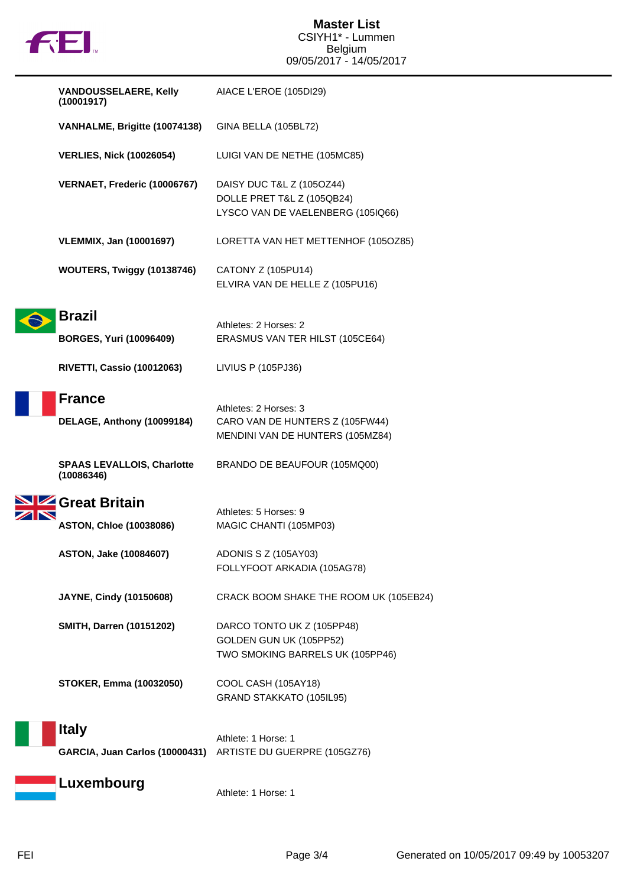

| <b>VANDOUSSELAERE, Kelly</b><br>(10001917)                 | AIACE L'EROE (105DI29)                                                                       |
|------------------------------------------------------------|----------------------------------------------------------------------------------------------|
| VANHALME, Brigitte (10074138)                              | GINA BELLA (105BL72)                                                                         |
| <b>VERLIES, Nick (10026054)</b>                            | LUIGI VAN DE NETHE (105MC85)                                                                 |
| VERNAET, Frederic (10006767)                               | DAISY DUC T&L Z (105OZ44)<br>DOLLE PRET T&L Z (105QB24)<br>LYSCO VAN DE VAELENBERG (105IQ66) |
| <b>VLEMMIX, Jan (10001697)</b>                             | LORETTA VAN HET METTENHOF (105OZ85)                                                          |
| WOUTERS, Twiggy (10138746)                                 | CATONY Z (105PU14)<br>ELVIRA VAN DE HELLE Z (105PU16)                                        |
| <b>Brazil</b><br><b>BORGES, Yuri (10096409)</b>            | Athletes: 2 Horses: 2<br>ERASMUS VAN TER HILST (105CE64)                                     |
| <b>RIVETTI, Cassio (10012063)</b>                          | LIVIUS P (105PJ36)                                                                           |
| <b>France</b><br>DELAGE, Anthony (10099184)                | Athletes: 2 Horses: 3<br>CARO VAN DE HUNTERS Z (105FW44)<br>MENDINI VAN DE HUNTERS (105MZ84) |
| <b>SPAAS LEVALLOIS, Charlotte</b><br>(10086346)            | BRANDO DE BEAUFOUR (105MQ00)                                                                 |
| <b>SIZ</b> Great Britain<br><b>ASTON, Chloe (10038086)</b> | Athletes: 5 Horses: 9<br>MAGIC CHANTI (105MP03)                                              |
| ASTON, Jake (10084607)                                     | ADONIS S Z (105AY03)<br>FOLLYFOOT ARKADIA (105AG78)                                          |
| JAYNE, Cindy (10150608)                                    | CRACK BOOM SHAKE THE ROOM UK (105EB24)                                                       |
| <b>SMITH, Darren (10151202)</b>                            | DARCO TONTO UK Z (105PP48)<br>GOLDEN GUN UK (105PP52)<br>TWO SMOKING BARRELS UK (105PP46)    |
| <b>STOKER, Emma (10032050)</b>                             | COOL CASH (105AY18)<br>GRAND STAKKATO (105IL95)                                              |
| <b>Italy</b>                                               | Athlete: 1 Horse: 1                                                                          |
| GARCIA, Juan Carlos (10000431)                             | ARTISTE DU GUERPRE (105GZ76)                                                                 |
| Luxembourg                                                 | Athlete: 1 Horse: 1                                                                          |

 $\frac{\mathbf{N}}{\mathbf{N}}$